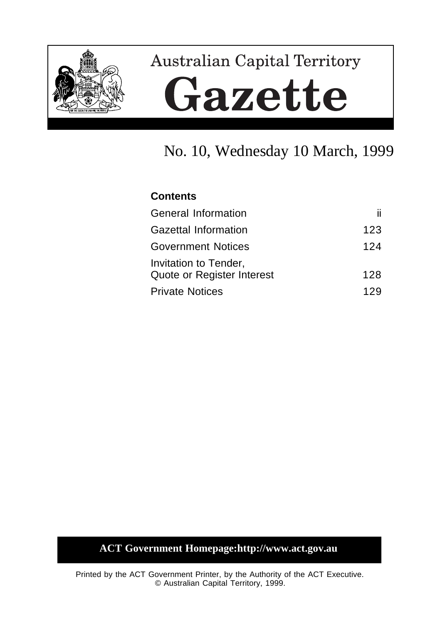

# **Australian Capital Territory** Gazette

# No. 10, Wednesday 10 March, 1999

# **Contents**

| General Information                                 | ii. |
|-----------------------------------------------------|-----|
| <b>Gazettal Information</b>                         | 123 |
| <b>Government Notices</b>                           | 124 |
| Invitation to Tender,<br>Quote or Register Interest | 128 |
| <b>Private Notices</b>                              | 129 |

# **ACT Government Homepage:http://www.act.gov.au**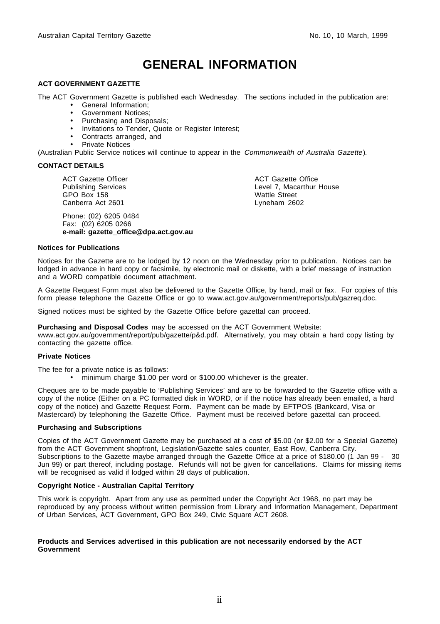# **GENERAL INFORMATION**

#### **ACT GOVERNMENT GAZETTE**

The ACT Government Gazette is published each Wednesday. The sections included in the publication are:

- General Information;
- Government Notices;
- Purchasing and Disposals;
- Invitations to Tender, Quote or Register Interest;
- Contracts arranged, and
- Private Notices

(Australian Public Service notices will continue to appear in the Commonwealth of Australia Gazette).

#### **CONTACT DETAILS**

ACT Gazette Officer Publishing Services GPO Box 158 Canberra Act 2601

Phone: (02) 6205 0484 Fax: (02) 6205 0266 **e-mail: gazette\_office@dpa.act.gov.au** ACT Gazette Office Level 7, Macarthur House Wattle Street Lyneham 2602

#### **Notices for Publications**

Notices for the Gazette are to be lodged by 12 noon on the Wednesday prior to publication. Notices can be lodged in advance in hard copy or facsimile, by electronic mail or diskette, with a brief message of instruction and a WORD compatible document attachment.

A Gazette Request Form must also be delivered to the Gazette Office, by hand, mail or fax. For copies of this form please telephone the Gazette Office or go to www.act.gov.au/government/reports/pub/gazreq.doc.

Signed notices must be sighted by the Gazette Office before gazettal can proceed.

**Purchasing and Disposal Codes** may be accessed on the ACT Government Website:

www.act.gov.au/government/report/pub/gazette/p&d.pdf. Alternatively, you may obtain a hard copy listing by contacting the gazette office.

#### **Private Notices**

The fee for a private notice is as follows:

• minimum charge \$1.00 per word or \$100.00 whichever is the greater.

Cheques are to be made payable to 'Publishing Services' and are to be forwarded to the Gazette office with a copy of the notice (Either on a PC formatted disk in WORD, or if the notice has already been emailed, a hard copy of the notice) and Gazette Request Form. Payment can be made by EFTPOS (Bankcard, Visa or Mastercard) by telephoning the Gazette Office. Payment must be received before gazettal can proceed.

#### **Purchasing and Subscriptions**

Copies of the ACT Government Gazette may be purchased at a cost of \$5.00 (or \$2.00 for a Special Gazette) from the ACT Government shopfront, Legislation/Gazette sales counter, East Row, Canberra City. Subscriptions to the Gazette maybe arranged through the Gazette Office at a price of \$180.00 (1 Jan 99 - 30 Jun 99) or part thereof, including postage. Refunds will not be given for cancellations. Claims for missing items will be recognised as valid if lodged within 28 days of publication.

#### **Copyright Notice - Australian Capital Territory**

This work is copyright. Apart from any use as permitted under the Copyright Act 1968, no part may be reproduced by any process without written permission from Library and Information Management, Department of Urban Services, ACT Government, GPO Box 249, Civic Square ACT 2608.

#### **Products and Services advertised in this publication are not necessarily endorsed by the ACT Government**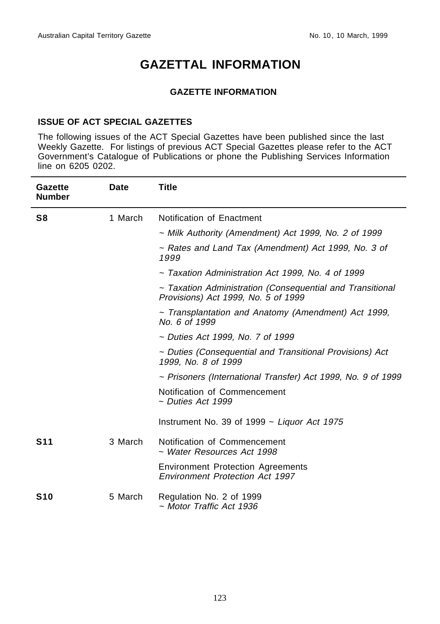# **GAZETTAL INFORMATION**

## **GAZETTE INFORMATION**

## **ISSUE OF ACT SPECIAL GAZETTES**

The following issues of the ACT Special Gazettes have been published since the last Weekly Gazette. For listings of previous ACT Special Gazettes please refer to the ACT Government's Catalogue of Publications or phone the Publishing Services Information line on 6205 0202.

| Gazette<br><b>Number</b> | Date    | <b>Title</b>                                                                                     |
|--------------------------|---------|--------------------------------------------------------------------------------------------------|
| S8                       | 1 March | Notification of Enactment                                                                        |
|                          |         | ~ Milk Authority (Amendment) Act 1999, No. 2 of 1999                                             |
|                          |         | ~ Rates and Land Tax (Amendment) Act 1999, No. 3 of<br>1999                                      |
|                          |         | ~ Taxation Administration Act 1999, No. 4 of 1999                                                |
|                          |         | ~ Taxation Administration (Consequential and Transitional<br>Provisions) Act 1999, No. 5 of 1999 |
|                          |         | ~ Transplantation and Anatomy (Amendment) Act 1999,<br>No. 6 of 1999                             |
|                          |         | ~ Duties Act 1999, No. 7 of 1999                                                                 |
|                          |         | ~ Duties (Consequential and Transitional Provisions) Act<br>1999, No. 8 of 1999                  |
|                          |         | ~ Prisoners (International Transfer) Act 1999, No. 9 of 1999                                     |
|                          |         | Notification of Commencement<br>~ Duties Act 1999                                                |
|                          |         | Instrument No. 39 of 1999 $\sim$ Liquor Act 1975                                                 |
| <b>S11</b>               | 3 March | Notification of Commencement<br>~ Water Resources Act 1998                                       |
|                          |         | <b>Environment Protection Agreements</b><br>Environment Protection Act 1997                      |
| <b>S10</b>               | 5 March | Regulation No. 2 of 1999<br>~ Motor Traffic Act 1936                                             |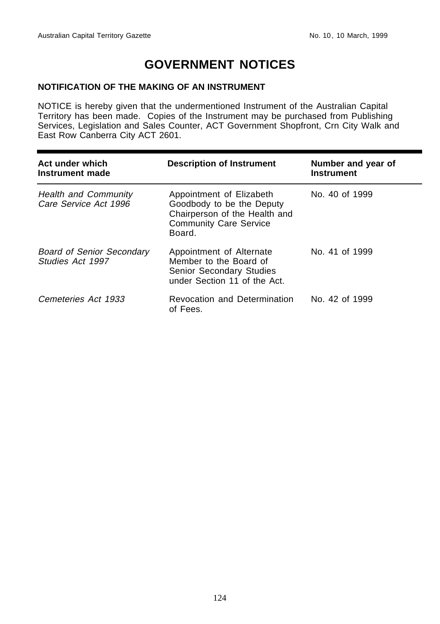# **GOVERNMENT NOTICES**

## **NOTIFICATION OF THE MAKING OF AN INSTRUMENT**

NOTICE is hereby given that the undermentioned Instrument of the Australian Capital Territory has been made. Copies of the Instrument may be purchased from Publishing Services, Legislation and Sales Counter, ACT Government Shopfront, Crn City Walk and East Row Canberra City ACT 2601.

| Act under which<br>Instrument made                   | <b>Description of Instrument</b>                                                                                                  | Number and year of<br><b>Instrument</b> |
|------------------------------------------------------|-----------------------------------------------------------------------------------------------------------------------------------|-----------------------------------------|
| <b>Health and Community</b><br>Care Service Act 1996 | Appointment of Elizabeth<br>Goodbody to be the Deputy<br>Chairperson of the Health and<br><b>Community Care Service</b><br>Board. | No. 40 of 1999                          |
| <b>Board of Senior Secondary</b><br>Studies Act 1997 | Appointment of Alternate<br>Member to the Board of<br>Senior Secondary Studies<br>under Section 11 of the Act.                    | No. 41 of 1999                          |
| Cemeteries Act 1933                                  | Revocation and Determination<br>of Fees.                                                                                          | No. 42 of 1999                          |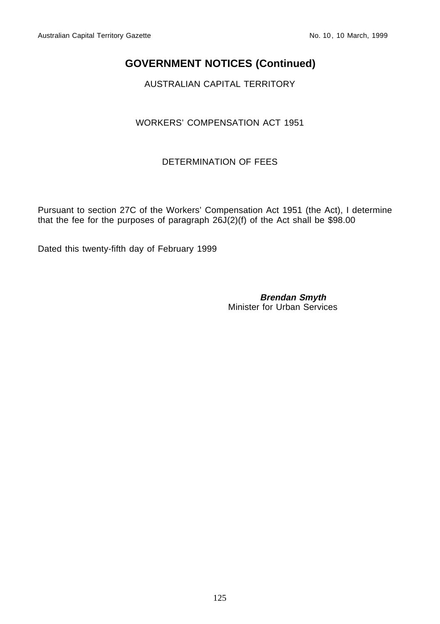# **GOVERNMENT NOTICES (Continued)**

AUSTRALIAN CAPITAL TERRITORY

# WORKERS' COMPENSATION ACT 1951

# DETERMINATION OF FEES

Pursuant to section 27C of the Workers' Compensation Act 1951 (the Act), I determine that the fee for the purposes of paragraph  $26J(2)(f)$  of the Act shall be \$98.00

Dated this twenty-fifth day of February 1999

**Brendan Smyth** Minister for Urban Services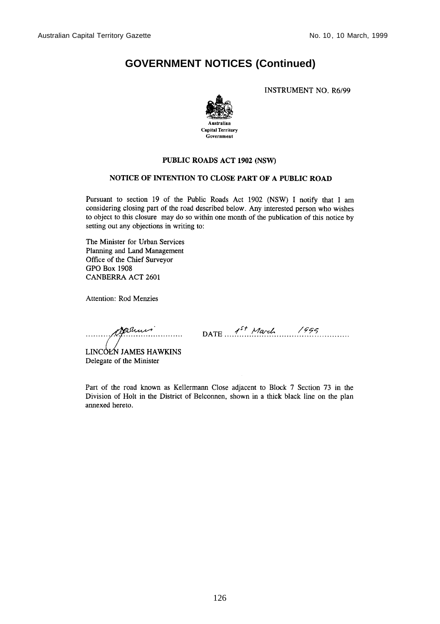# **GOVERNMENT NOTICES (Continued)**

**INSTRUMENT NO. R6/99** 



#### PUBLIC ROADS ACT 1902 (NSW)

### NOTICE OF INTENTION TO CLOSE PART OF A PUBLIC ROAD

Pursuant to section 19 of the Public Roads Act 1902 (NSW) I notify that I am considering closing part of the road described below. Any interested person who wishes to object to this closure may do so within one month of the publication of this notice by setting out any objections in writing to:

The Minister for Urban Services Planning and Land Management Office of the Chief Surveyor **GPO Box 1908 CANBERRA ACT 2601** 

Attention: Rod Menzies

ramis

 $\sim$  DATE  $1^{5}$  March 1995

LINCOLN JAMES HAWKINS Delegate of the Minister

Part of the road known as Kellermann Close adjacent to Block 7 Section 73 in the Division of Holt in the District of Belconnen, shown in a thick black line on the plan annexed hereto.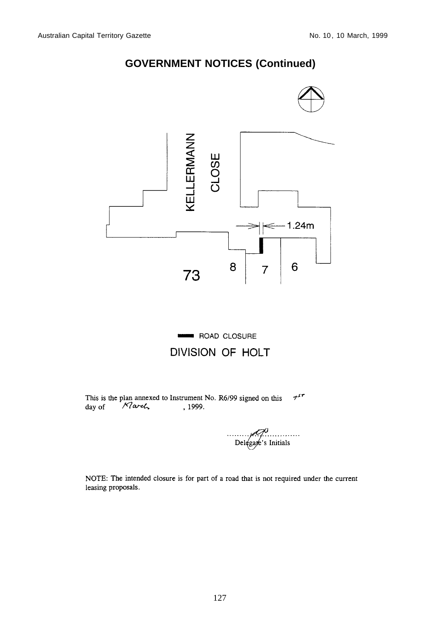# **GOVERNMENT NOTICES (Continued)**



 $7^{57}$ This is the plan annexed to Instrument No. R6/99 signed on this day of Narch , 1999.

Delegate's Initials

NOTE: The intended closure is for part of a road that is not required under the current leasing proposals.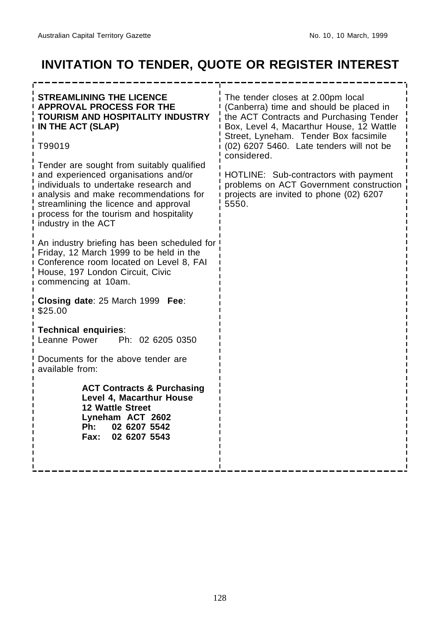# **INVITATION TO TENDER, QUOTE OR REGISTER INTEREST**

| <b>STREAMLINING THE LICENCE</b><br><b>APPROVAL PROCESS FOR THE</b><br>TOURISM AND HOSPITALITY INDUSTRY<br>IN THE ACT (SLAP)<br>T99019<br>Tender are sought from suitably qualified<br>and experienced organisations and/or<br>individuals to undertake research and<br>analysis and make recommendations for<br>streamlining the licence and approval<br>process for the tourism and hospitality<br>industry in the ACT<br>An industry briefing has been scheduled for<br>Friday, 12 March 1999 to be held in the<br>Conference room located on Level 8, FAI<br>House, 197 London Circuit, Civic<br>commencing at 10am.<br>Closing date: 25 March 1999 Fee:<br>\$25.00<br><b>Technical enquiries:</b><br>Ph: 02 6205 0350<br>Leanne Power<br>Documents for the above tender are<br>available from:<br><b>ACT Contracts &amp; Purchasing</b><br>Level 4, Macarthur House<br>12 Wattle Street<br>Lyneham ACT 2602<br>Ph:<br>02 6207 5542<br>02 6207 5543<br><b>Fax:</b> | The tender closes at 2.00pm local<br>(Canberra) time and should be placed in<br>the ACT Contracts and Purchasing Tender<br>Box, Level 4, Macarthur House, 12 Wattle<br>Street, Lyneham. Tender Box facsimile<br>(02) 6207 5460. Late tenders will not be<br>considered.<br>HOTLINE: Sub-contractors with payment<br>problems on ACT Government construction<br>projects are invited to phone (02) 6207<br>5550. |
|-----------------------------------------------------------------------------------------------------------------------------------------------------------------------------------------------------------------------------------------------------------------------------------------------------------------------------------------------------------------------------------------------------------------------------------------------------------------------------------------------------------------------------------------------------------------------------------------------------------------------------------------------------------------------------------------------------------------------------------------------------------------------------------------------------------------------------------------------------------------------------------------------------------------------------------------------------------------------|-----------------------------------------------------------------------------------------------------------------------------------------------------------------------------------------------------------------------------------------------------------------------------------------------------------------------------------------------------------------------------------------------------------------|
|                                                                                                                                                                                                                                                                                                                                                                                                                                                                                                                                                                                                                                                                                                                                                                                                                                                                                                                                                                       |                                                                                                                                                                                                                                                                                                                                                                                                                 |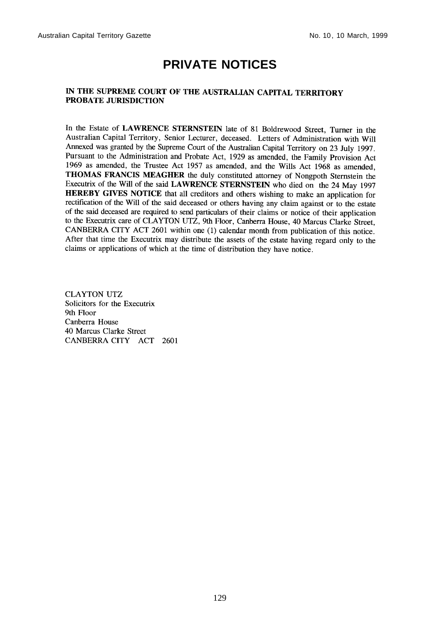# **PRIVATE NOTICES**

#### IN THE SUPREME COURT OF THE AUSTRALIAN CAPITAL TERRITORY PROBATE JURISDICTION

In the Estate of LAWRENCE STERNSTEIN late of 81 Boldrewood Street, Turner in the Australian Capital Territory, Senior Lecturer, deceased. Letters of Administration with Will Annexed was granted by the Supreme Court of the Australian Capital Territory on 23 July 1997. Pursuant to the Administration and Probate Act, 1929 as amended, the Family Provision Act 1969 as amended, the Trustee Act 1957 as amended, and the Wills Act 1968 as amended, THOMAS FRANCIS MEAGHER the duly constituted attorney of Nongpoth Sternstein the Executrix of the Will of the said LAWRENCE STERNSTEIN who died on the 24 May 1997 **HEREBY GIVES NOTICE** that all creditors and others wishing to make an application for rectification of the Will of the said deceased or others having any claim against or to the estate of the said deceased are required to send particulars of their claims or notice of their application to the Executrix care of CLAYTON UTZ, 9th Floor, Canberra House, 40 Marcus Clarke Street, CANBERRA CITY ACT 2601 within one (1) calendar month from publication of this notice. After that time the Executrix may distribute the assets of the estate having regard only to the claims or applications of which at the time of distribution they have notice.

**CLAYTON UTZ** Solicitors for the Executrix 9th Floor Canberra House 40 Marcus Clarke Street CANBERRA CITY ACT 2601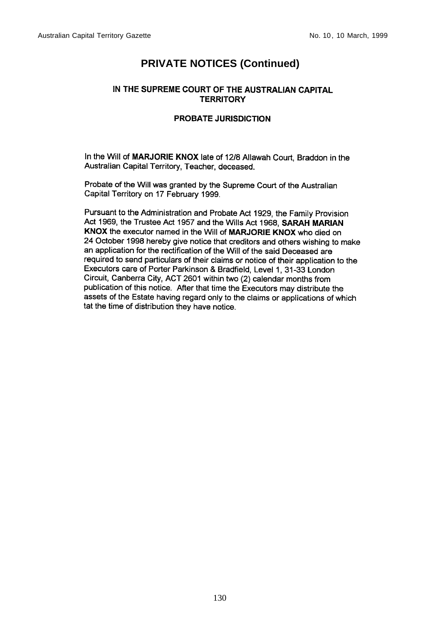# **PRIVATE NOTICES (Continued)**

#### IN THE SUPREME COURT OF THE AUSTRALIAN CAPITAL **TERRITORY**

#### **PROBATE JURISDICTION**

In the Will of MARJORIE KNOX late of 12/8 Allawah Court, Braddon in the Australian Capital Territory, Teacher, deceased.

Probate of the Will was granted by the Supreme Court of the Australian Capital Territory on 17 February 1999.

Pursuant to the Administration and Probate Act 1929, the Family Provision Act 1969, the Trustee Act 1957 and the Wills Act 1968, SARAH MARIAN KNOX the executor named in the Will of MARJORIE KNOX who died on 24 October 1998 hereby give notice that creditors and others wishing to make an application for the rectification of the Will of the said Deceased are required to send particulars of their claims or notice of their application to the Executors care of Porter Parkinson & Bradfield, Level 1, 31-33 London Circuit, Canberra City, ACT 2601 within two (2) calendar months from publication of this notice. After that time the Executors may distribute the assets of the Estate having regard only to the claims or applications of which tat the time of distribution they have notice.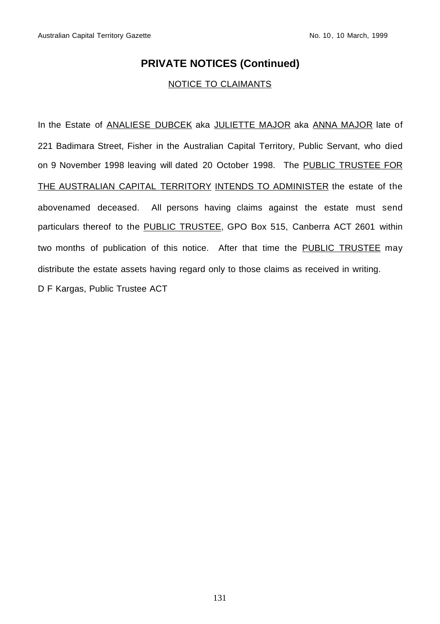# **PRIVATE NOTICES (Continued)**

## NOTICE TO CLAIMANTS

In the Estate of ANALIESE DUBCEK aka JULIETTE MAJOR aka ANNA MAJOR late of 221 Badimara Street, Fisher in the Australian Capital Territory, Public Servant, who died on 9 November 1998 leaving will dated 20 October 1998. The PUBLIC TRUSTEE FOR THE AUSTRALIAN CAPITAL TERRITORY INTENDS TO ADMINISTER the estate of the abovenamed deceased. All persons having claims against the estate must send particulars thereof to the PUBLIC TRUSTEE, GPO Box 515, Canberra ACT 2601 within two months of publication of this notice. After that time the PUBLIC TRUSTEE may distribute the estate assets having regard only to those claims as received in writing. D F Kargas, Public Trustee ACT